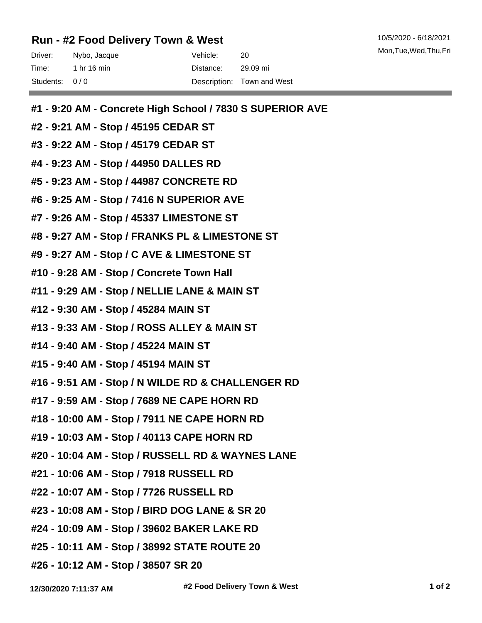## **Run - #2 Food Delivery Town & West**

| Driver:       | Nybo, Jacque | Vehicle:  | 20                         |
|---------------|--------------|-----------|----------------------------|
| Time:         | 1 hr 16 min  | Distance: | 29.09 mi                   |
| Students: 0/0 |              |           | Description: Town and West |

- **#1 9:20 AM Concrete High School / 7830 S SUPERIOR AVE**
- **#2 9:21 AM Stop / 45195 CEDAR ST**
- **#3 9:22 AM Stop / 45179 CEDAR ST**
- **#4 9:23 AM Stop / 44950 DALLES RD**
- **#5 9:23 AM Stop / 44987 CONCRETE RD**
- **#6 9:25 AM Stop / 7416 N SUPERIOR AVE**
- **#7 9:26 AM Stop / 45337 LIMESTONE ST**
- **#8 9:27 AM Stop / FRANKS PL & LIMESTONE ST**
- **#9 9:27 AM Stop / C AVE & LIMESTONE ST**
- **#10 9:28 AM Stop / Concrete Town Hall**
- **#11 9:29 AM Stop / NELLIE LANE & MAIN ST**
- **#12 9:30 AM Stop / 45284 MAIN ST**
- **#13 9:33 AM Stop / ROSS ALLEY & MAIN ST**
- **#14 9:40 AM Stop / 45224 MAIN ST**
- **#15 9:40 AM Stop / 45194 MAIN ST**
- **#16 9:51 AM Stop / N WILDE RD & CHALLENGER RD**
- **#17 9:59 AM Stop / 7689 NE CAPE HORN RD**
- **#18 10:00 AM Stop / 7911 NE CAPE HORN RD**
- **#19 10:03 AM Stop / 40113 CAPE HORN RD**
- **#20 10:04 AM Stop / RUSSELL RD & WAYNES LANE**
- **#21 10:06 AM Stop / 7918 RUSSELL RD**
- **#22 10:07 AM Stop / 7726 RUSSELL RD**
- **#23 10:08 AM Stop / BIRD DOG LANE & SR 20**
- **#24 10:09 AM Stop / 39602 BAKER LAKE RD**
- **#25 10:11 AM Stop / 38992 STATE ROUTE 20**
- **#26 10:12 AM Stop / 38507 SR 20**